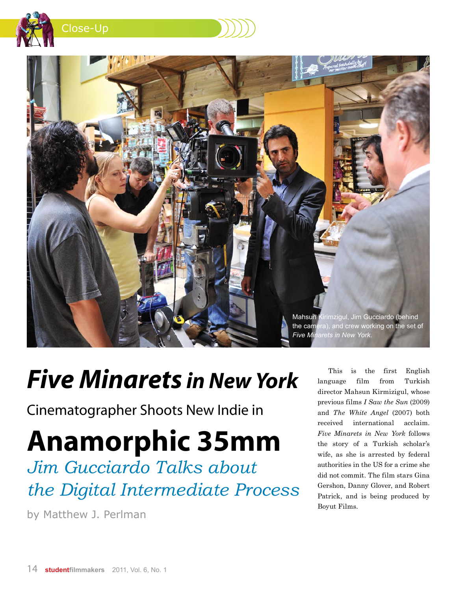

Close-Up



## *Five Minarets in New York*

Cinematographer Shoots New Indie in

## **Anamorphic 35mm**

*Jim Gucciardo Talks about the Digital Intermediate Process*

by Matthew J. Perlman

This is the first English language film from Turkish director Mahsun Kirmizigul, whose previous films *I Saw the Sun* (2009) and *The White Angel* (2007) both received international acclaim. *Five Minarets in New York* follows the story of a Turkish scholar's wife, as she is arrested by federal authorities in the US for a crime she did not commit. The film stars Gina Gershon, Danny Glover, and Robert Patrick, and is being produced by Boyut Films.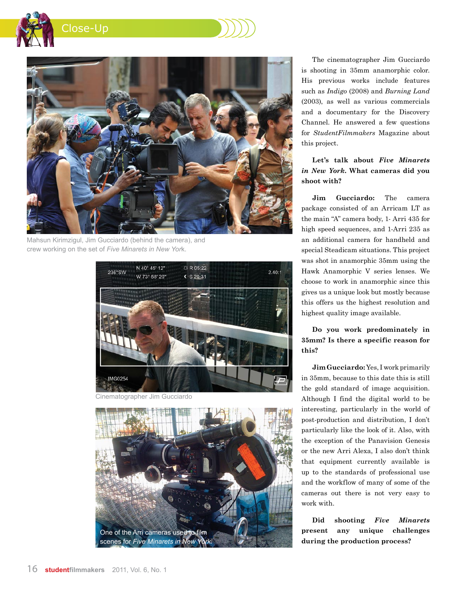



Mahsun Kirimzigul, Jim Gucciardo (behind the camera), and crew working on the set of *Five Minarets in New Yor*k.



Cinematographer Jim Gucciardo



The cinematographer Jim Gucciardo is shooting in 35mm anamorphic color. His previous works include features such as *Indigo* (2008) and *Burning Land* (2003), as well as various commercials and a documentary for the Discovery Channel. He answered a few questions for *StudentFilmmakers* Magazine about this project.

**Let's talk about** *Five Minarets in New York.* **What cameras did you shoot with?**

**Jim Gucciardo:** The camera package consisted of an Arricam LT as the main "A" camera body, 1- Arri 435 for high speed sequences, and 1-Arri 235 as an additional camera for handheld and special Steadicam situations. This project was shot in anamorphic 35mm using the Hawk Anamorphic V series lenses. We choose to work in anamorphic since this gives us a unique look but mostly because this offers us the highest resolution and highest quality image available.

**Do you work predominately in 35mm? Is there a specific reason for this?**

**Jim Gucciardo:** Yes, I work primarily in 35mm, because to this date this is still the gold standard of image acquisition. Although I find the digital world to be interesting, particularly in the world of post-production and distribution, I don't particularly like the look of it. Also, with the exception of the Panavision Genesis or the new Arri Alexa, I also don't think that equipment currently available is up to the standards of professional use and the workflow of many of some of the cameras out there is not very easy to work with.

**Did shooting** *Five Minarets* **present any unique challenges during the production process?**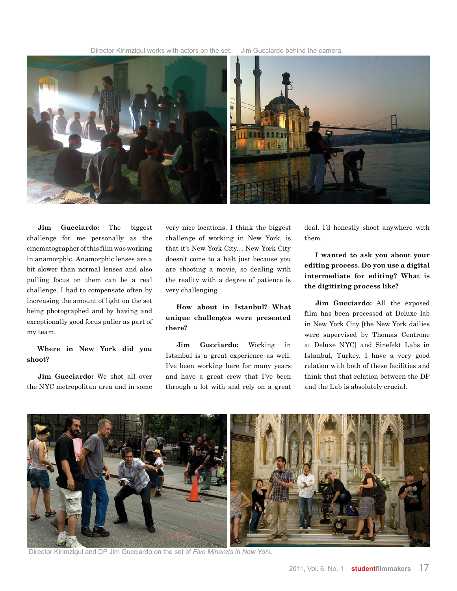Director Kirimzigul works with actors on the set. Jim Gucciardo behind the camera.



**Jim Gucciardo:** The biggest challenge for me personally as the cinematographer of this film was working in anamorphic. Anamorphic lenses are a bit slower than normal lenses and also pulling focus on them can be a real challenge. I had to compensate often by increasing the amount of light on the set being photographed and by having and exceptionally good focus puller as part of my team.

## **Where in New York did you shoot?**

**Jim Gucciardo:** We shot all over the NYC metropolitan area and in some very nice locations. I think the biggest challenge of working in New York, is that it's New York City… New York City doesn't come to a halt just because you are shooting a movie, so dealing with the reality with a degree of patience is very challenging.

**How about in Istanbul? What unique challenges were presented there?**

**Jim Gucciardo:** Working in Istanbul is a great experience as well. I've been working here for many years and have a great crew that I've been through a lot with and rely on a great deal. I'd honestly shoot anywhere with them.

**I wanted to ask you about your editing process. Do you use a digital intermediate for editing? What is the digitizing process like?**

**Jim Gucciardo:** All the exposed film has been processed at Deluxe lab in New York City [the New York dailies were supervised by Thomas Centrone at Deluxe NYC] and Sinefekt Labs in Istanbul, Turkey. I have a very good relation with both of these facilities and think that that relation between the DP and the Lab is absolutely crucial.



Director Kirimzigul and DP Jim Gucciardo on the set of *Five Minarets in New Yor*k.